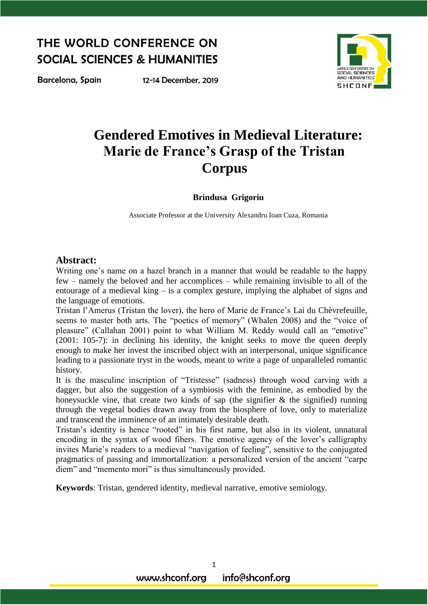Barcelona, Spain

12-14 December, 2019



# **Gendered Emotives in Medieval Literature: Marie de France's Grasp of the Tristan Corpus**

**Brindusa Grigoriu**

Associate Professor at the University Alexandru Ioan Cuza, Romania

#### **Abstract:**

Writing one's name on a hazel branch in a manner that would be readable to the happy few – namely the beloved and her accomplices – while remaining invisible to all of the entourage of a medieval king  $-$  is a complex gesture, implying the alphabet of signs and the language of emotions.

Tristan l'Amerus (Tristan the lover), the hero of Marie de France's Lai du Chèvrefeuille, seems to master both arts. The "poetics of memory" (Whalen 2008) and the "voice of pleasure" (Callahan 2001) point to what William M. Reddy would call an "emotive" (2001: 105-7): in declining his identity, the knight seeks to move the queen deeply enough to make her invest the inscribed object with an interpersonal, unique significance leading to a passionate tryst in the woods, meant to write a page of unparalleled romantic history.

It is the masculine inscription of "Tristesse" (sadness) through wood carving with a dagger, but also the suggestion of a symbiosis with the feminine, as embodied by the honeysuckle vine, that create two kinds of sap (the signifier  $\&$  the signified) running through the vegetal bodies drawn away from the biosphere of love, only to materialize and transcend the imminence of an intimately desirable death.

Tristan's identity is hence "rooted" in his first name, but also in its violent, unnatural encoding in the syntax of wood fibers. The emotive agency of the lover's calligraphy invites Marie's readers to a medieval "navigation of feeling", sensitive to the conjugated pragmatics of passing and immortalization: a personalized version of the ancient "carpe diem" and "memento mori" is thus simultaneously provided.

**Keywords**: Tristan, gendered identity, medieval narrative, emotive semiology.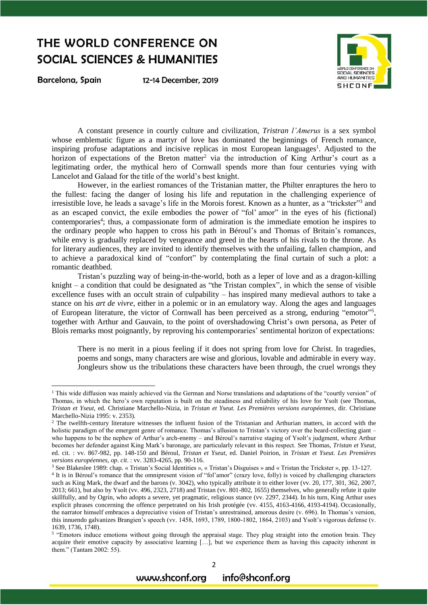Barcelona, Spain

1

12-14 December, 2019



A constant presence in courtly culture and civilization, *Tristran l'Amerus* is a sex symbol whose emblematic figure as a martyr of love has dominated the beginnings of French romance, inspiring profuse adaptations and incisive replicas in most European languages 1 . Adjusted to the horizon of expectations of the Breton matter<sup>2</sup> via the introduction of King Arthur's court as a legitimating order, the mythical hero of Cornwall spends more than four centuries vying with Lancelot and Galaad for the title of the world's best knight.

However, in the earliest romances of the Tristanian matter, the Philter enraptures the hero to the fullest: facing the danger of losing his life and reputation in the challenging experience of irresistible love, he leads a savage's life in the Morois forest. Known as a hunter, as a "trickster"<sup>3</sup> and as an escaped convict, the exile embodies the power of "fol' amor" in the eyes of his (fictional) contemporaries<sup>4</sup>; thus, a compassionate form of admiration is the immediate emotion he inspires to the ordinary people who happen to cross his path in Béroul's and Thomas of Britain's romances, while envy is gradually replaced by vengeance and greed in the hearts of his rivals to the throne. As for literary audiences, they are invited to identify themselves with the unfailing, fallen champion, and to achieve a paradoxical kind of "confort" by contemplating the final curtain of such a plot: a romantic deathbed.

Tristan's puzzling way of being-in-the-world, both as a leper of love and as a dragon-killing knight – a condition that could be designated as "the Tristan complex", in which the sense of visible excellence fuses with an occult strain of culpability – has inspired many medieval authors to take a stance on his *art de vivre*, either in a polemic or in an emulatory way. Along the ages and languages of European literature, the victor of Cornwall has been perceived as a strong, enduring "emotor"<sup>5</sup>, together with Arthur and Gauvain, to the point of overshadowing Christ's own persona, as Peter of Blois remarks most poignantly, by reproving his contemporaries' sentimental horizon of expectations:

There is no merit in a pious feeling if it does not spring from love for Christ. In tragedies, poems and songs, many characters are wise and glorious, lovable and admirable in every way. Jongleurs show us the tribulations these characters have been through, the cruel wrongs they

info@shconf.org

<sup>&</sup>lt;sup>1</sup> This wide diffusion was mainly achieved via the German and Norse translations and adaptations of the "courtly version" of Thomas, in which the hero's own reputation is built on the steadiness and reliability of his love for Ysolt (see Thomas, *Tristan et Yseut*, ed. Christiane Marchello-Nizia, in *Tristan et Yseut. Les Premières versions européennes*, dir. Christiane Marchello-Nizia 1995: v. 2353).

<sup>&</sup>lt;sup>2</sup> The twelfth-century literature witnesses the influent fusion of the Tristanian and Arthurian matters, in accord with the holistic paradigm of the emergent genre of romance. Thomas's allusion to Tristan's victory over the beard-collecting giant – who happens to be the nephew of Arthur's arch-enemy – and Béroul's narrative staging of Ysolt's judgment, where Arthur becomes her defender against King Mark's baronage, are particularly relevant in this respect. See Thomas, *Tristan et Yseut*, ed. cit. : vv. 867-982, pp. 148-150 and Béroul, *Tristan et Yseut*, ed. Daniel Poirion, in *Tristan et Yseut. Les Premières versions européennes*, *op*. *cit*. : vv. 3283-4265, pp. 90-116.

<sup>3</sup> See Blakeslee 1989: chap. « Tristan's Social Identities », « Tristan's Disguises » and « Tristan the Trickster », pp. 13-127.

<sup>4</sup> It is in Béroul's romance that the omnipresent vision of "fol'amor" (crazy love, folly) is voiced by challenging characters such as King Mark, the dwarf and the barons (v. 3042), who typically attribute it to either lover (vv. 20, 177, 301, 362, 2007, 2013; 661), but also by Ysolt (vv. 496, 2323, 2718) and Tristan (vv. 801-802, 1655) themselves, who generally refute it quite skillfully, and by Ogrin, who adopts a severe, yet pragmatic, religious stance (vv. 2297, 2344). In his turn, King Arthur uses explicit phrases concerning the offence perpetrated on his Irish protégée (vv. 4155, 4163-4166, 4193-4194). Occasionally, the narrator himself embraces a depreciative vision of Tristan's unrestrained, amorous desire (v. 696). In Thomas's version, this innuendo galvanizes Brangien's speech (vv. 1458, 1693, 1789, 1800-1802, 1864, 2103) and Ysolt's vigorous defense (v. 1639, 1736, 1748).

<sup>&</sup>lt;sup>5</sup> "Emotors induce emotions without going through the appraisal stage. They plug straight into the emotion brain. They acquire their emotive capacity by associative learning [...], but we experience them as having this capacity inherent in them." (Tantam 2002: 55).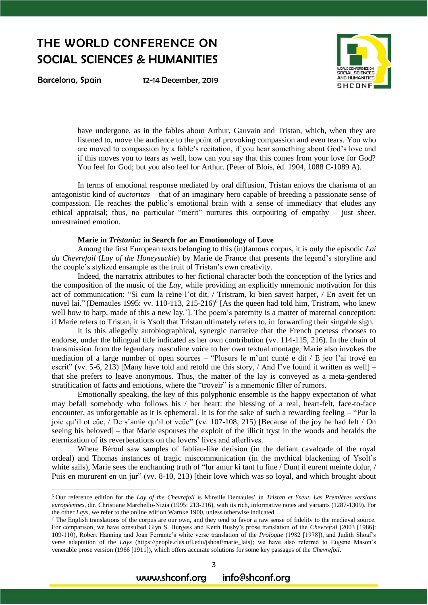Barcelona, Spain

**.** 

12-14 December, 2019



have undergone, as in the fables about Arthur, Gauvain and Tristan, which, when they are listened to, move the audience to the point of provoking compassion and even tears. You who are moved to compassion by a fable's recitation, if you hear something about God's love and if this moves you to tears as well, how can you say that this comes from your love for God? You feel for God; but you also feel for Arthur. (Peter of Blois, éd. 1904, 1088 C-1089 A).

In terms of emotional response mediated by oral diffusion, Tristan enjoys the charisma of an antagonistic kind of *auctoritas* – that of an imaginary hero capable of breeding a passionate sense of compassion. He reaches the public's emotional brain with a sense of immediacy that eludes any ethical appraisal; thus, no particular "merit" nurtures this outpouring of empathy – just sheer, unrestrained emotion.

#### **Marie in** *Tristania***: in Search for an Emotionology of Love**

Among the first European texts belonging to this (in)famous corpus, it is only the episodic *Lai du Chevrefoil* (*Lay of the Honeysuckle*) by Marie de France that presents the legend's storyline and the couple's stylized ensample as the fruit of Tristan's own creativity.

Indeed, the narratrix attributes to her fictional character both the conception of the lyrics and the composition of the music of the *Lay*, while providing an explicitly mnemonic motivation for this act of communication: "Si cum la reïne l'ot dit, / Tristram, ki bien saveit harper, / En aveit fet un nuvel lai." (Demaules 1995: vv. 110-113, 215-216)<sup>6</sup> [As the queen had told him, Tristram, who knew well how to harp, made of this a new lay.<sup>7</sup>]. The poem's paternity is a matter of maternal conception: if Marie refers to Tristan, it is Ysolt that Tristan ultimately refers to, in forwarding their singable sign.

It is this allegedly autobiographical, synergic narrative that the French poetess chooses to endorse, under the bilingual title indicated as her own contribution (vv. 114-115, 216). In the chain of transmission from the legendary masculine voice to her own textual montage, Marie also invokes the mediation of a large number of open sources – "Plusurs le m'unt cunté e dit / E jeo l'ai trové en escrit" (vv. 5-6, 213) [Many have told and retold me this story,  $/$  And I've found it written as well] – that she prefers to leave anonymous. Thus, the matter of the lay is conveyed as a meta-gendered stratification of facts and emotions, where the "troveir" is a mnemonic filter of rumors.

Emotionally speaking, the key of this polyphonic ensemble is the happy expectation of what may befall somebody who follows his / her heart: the blessing of a real, heart-felt, face-to-face encounter, as unforgettable as it is ephemeral. It is for the sake of such a rewarding feeling – "Pur la joie qu'il ot eüe, / De s'amie qu'il ot veüe" (vv. 107-108, 215) [Because of the joy he had felt / On seeing his beloved] – that Marie espouses the exploit of the illicit tryst in the woods and heralds the eternization of its reverberations on the lovers' lives and afterlives.

Where Béroul saw samples of fabliau-like derision (in the defiant cavalcade of the royal ordeal) and Thomas instances of tragic miscommunication (in the mythical blackening of Ysolt's white sails), Marie sees the enchanting truth of "lur amur ki tant fu fine / Dunt il eurent meinte dolur, / Puis en mururent en un jur" (vv. 8-10, 213) [their love which was so loyal, and which brought about

3

<sup>6</sup> Our reference edition for the *Lay of the Chevrefoil* is Mireille Demaules' in *Tristan et Yseut. Les Premières versions européennes*, dir. Christiane Marchello-Nizia (1995: 213-216), with its rich, informative notes and variants (1287-1309). For the other *Lays*, we refer to the online edition Warnke 1900, unless otherwise indicated.

<sup>&</sup>lt;sup>7</sup> The English translations of the corpus are our own, and they tend to favor a raw sense of fidelity to the medieval source. For comparison, we have consulted Glyn S. Burgess and Keith Busby's prose translation of the *Chevrefoil* (2003 [1986]: 109-110), Robert Hanning and Joan Ferrante's white verse translation of the *Prologue* (1982 [1978]), and Judith Shoaf's verse adaptation of the *Lays* [\(https://people.clas.ufl.edu/jshoaf/marie\\_lais\)](https://people.clas.ufl.edu/jshoaf/marie_lais); we have also referred to Eugene Mason's venerable prose version (1966 [1911]), which offers accurate solutions for some key passages of the *Chevrefoil*.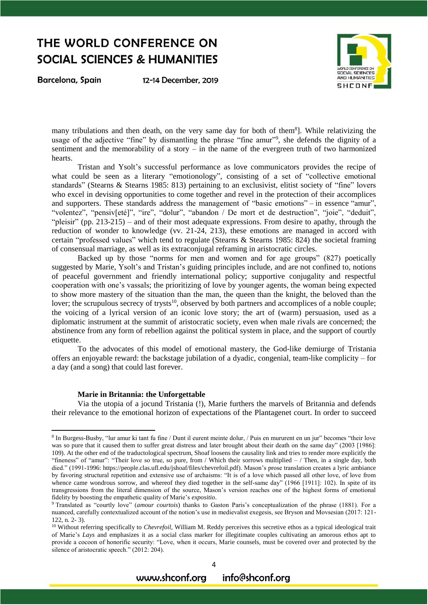Barcelona, Spain

**.** 

12-14 December, 2019



many tribulations and then death, on the very same day for both of them<sup>8</sup>]. While relativizing the usage of the adjective "fine" by dismantling the phrase "fine amur", she defends the dignity of a sentiment and the memorability of a story – in the name of the evergreen truth of two harmonized hearts.

Tristan and Ysolt's successful performance as love communicators provides the recipe of what could be seen as a literary "emotionology", consisting of a set of "collective emotional standards" (Stearns & Stearns 1985: 813) pertaining to an exclusivist, elitist society of "fine" lovers who excel in devising opportunities to come together and revel in the protection of their accomplices and supporters. These standards address the management of "basic emotions" – in essence "amur", "volentez", "pensiv[eté]", "ire", "dolur", "abandon / De mort et de destruction", "joie", "deduit", "pleisir" (pp. 213-215) – and of their most adequate expressions. From desire to apathy, through the reduction of wonder to knowledge (vv. 21-24, 213), these emotions are managed in accord with certain "professed values" which tend to regulate (Stearns & Stearns 1985: 824) the societal framing of consensual marriage, as well as its extraconjugal reframing in aristocratic circles.

Backed up by those "norms for men and women and for age groups" (827) poetically suggested by Marie, Ysolt's and Tristan's guiding principles include, and are not confined to, notions of peaceful government and friendly international policy; supportive conjugality and respectful cooperation with one's vassals; the prioritizing of love by younger agents, the woman being expected to show more mastery of the situation than the man, the queen than the knight, the beloved than the lover; the scrupulous secrecy of trysts<sup>10</sup>, observed by both partners and accomplices of a noble couple; the voicing of a lyrical version of an iconic love story; the art of (warm) persuasion, used as a diplomatic instrument at the summit of aristocratic society, even when male rivals are concerned; the abstinence from any form of rebellion against the political system in place, and the support of courtly etiquette.

To the advocates of this model of emotional mastery, the God-like demiurge of Tristania offers an enjoyable reward: the backstage jubilation of a dyadic, congenial, team-like complicity – for a day (and a song) that could last forever.

#### **Marie in Britannia: the Unforgettable**

Via the utopia of a jocund Tristania (!), Marie furthers the marvels of Britannia and defends their relevance to the emotional horizon of expectations of the Plantagenet court. In order to succeed

info@shconf.org

<sup>8</sup> In Burgess-Busby, "lur amur ki tant fu fine / Dunt il eurent meinte dolur, / Puis en mururent en un jur" becomes "their love was so pure that it caused them to suffer great distress and later brought about their death on the same day" (2003 [1986]: 109). At the other end of the traductological spectrum, Shoaf loosens the causality link and tries to render more explicitly the "fineness" of "amur": "Their love so true, so pure, from / Which their sorrows multiplied – / Then, in a single day, both died." (1991-1996: [https://people.clas.ufl.edu/jshoaf/files/chevrefoil.pdf\)](https://people.clas.ufl.edu/jshoaf/files/chevrefoil.pdf). Mason's prose translation creates a lyric ambiance by favoring structural repetition and extensive use of archaisms: "It is of a love which passed all other love, of love from whence came wondrous sorrow, and whereof they died together in the self-same day" (1966 [1911]: 102). In spite of its transgressions from the literal dimension of the source, Mason's version reaches one of the highest forms of emotional fidelity by boosting the empathetic quality of Marie's *expositio*.

<sup>9</sup> Translated as "courtly love" (*amour courtois*) thanks to Gaston Paris's conceptualization of the phrase (1881). For a nuanced, carefully contextualized account of the notion's use in medievalist exegesis, see Bryson and Movsesian (2017: 121- 122, n. 2- 3).

<sup>&</sup>lt;sup>10</sup> Without referring specifically to *Chevrefoil*, William M. Reddy perceives this secretive ethos as a typical ideological trait of Marie's *Lays* and emphasizes it as a social class marker for illegitimate couples cultivating an amorous ethos apt to provide a cocoon of honorific security: "Love, when it occurs, Marie counsels, must be covered over and protected by the silence of aristocratic speech." (2012: 204).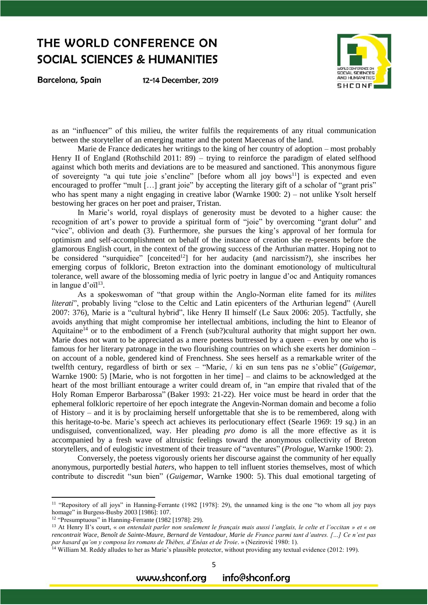Barcelona, Spain

12-14 December, 2019



as an "influencer" of this milieu, the writer fulfils the requirements of any ritual communication between the storyteller of an emerging matter and the potent Maecenas of the land.

Marie de France dedicates her writings to the king of her country of adoption – most probably Henry II of England (Rothschild 2011: 89) – trying to reinforce the paradigm of elated selfhood against which both merits and deviations are to be measured and sanctioned. This anonymous figure of sovereignty "a qui tute joie s'encline" [before whom all joy bows<sup>11</sup>] is expected and even encouraged to proffer "mult [...] grant joie" by accepting the literary gift of a scholar of "grant pris" who has spent many a night engaging in creative labor (Warnke 1900: 2) – not unlike Ysolt herself bestowing her graces on her poet and praiser, Tristan.

In Marie's world, royal displays of generosity must be devoted to a higher cause: the recognition of art's power to provide a spiritual form of "joie" by overcoming "grant dolur" and "vice", oblivion and death (3). Furthermore, she pursues the king's approval of her formula for optimism and self-accomplishment on behalf of the instance of creation she re-presents before the glamorous English court, in the context of the growing success of the Arthurian matter. Hoping not to be considered "surquidiee" [conceited<sup>12</sup>] for her audacity (and narcissism?), she inscribes her emerging corpus of folkloric, Breton extraction into the dominant emotionology of multicultural tolerance, well aware of the blossoming media of lyric poetry in langue d'oc and Antiquity romances in langue d'oïl<sup>13</sup>.

As a spokeswoman of "that group within the Anglo-Norman elite famed for its *milites literati*", probably living "close to the Celtic and Latin epicenters of the Arthurian legend" (Aurell 2007: 376), Marie is a "cultural hybrid", like Henry II himself (Le Saux 2006: 205). Tactfully, she avoids anything that might compromise her intellectual ambitions, including the hint to Eleanor of Aquitaine<sup>14</sup> or to the embodiment of a French (sub?)cultural authority that might support her own. Marie does not want to be appreciated as a mere poetess buttressed by a queen – even by one who is famous for her literary patronage in the two flourishing countries on which she exerts her dominion – on account of a noble, gendered kind of Frenchness. She sees herself as a remarkable writer of the twelfth century, regardless of birth or sex – "Marie, / ki en sun tens pas ne s'oblie" (*Guigemar*, Warnke 1900: 5) [Marie, who is not forgotten in her time] – and claims to be acknowledged at the heart of the most brilliant entourage a writer could dream of, in "an empire that rivaled that of the Holy Roman Emperor Barbarossa" (Baker 1993: 21-22). Her voice must be heard in order that the ephemeral folkloric repertoire of her epoch integrate the Angevin-Norman domain and become a folio of History – and it is by proclaiming herself unforgettable that she is to be remembered, along with this heritage-to-be. Marie's speech act achieves its perlocutionary effect (Searle 1969: 19 *sq*.) in an undisguised, conventionalized, way. Her pleading *pro domo* is all the more effective as it is accompanied by a fresh wave of altruistic feelings toward the anonymous collectivity of Breton storytellers, and of eulogistic investment of their treasure of "aventures" (*Prologue*, Warnke 1900: 2).

Conversely, the poetess vigorously orients her discourse against the community of her equally anonymous, purportedly bestial *haters*, who happen to tell influent stories themselves, most of which contribute to discredit "sun bien" (*Guigemar*, Warnke 1900: 5). This dual emotional targeting of

**.** 

<sup>&</sup>lt;sup>11</sup> "Repository of all joys" in Hanning-Ferrante (1982 [1978]: 29), the unnamed king is the one "to whom all joy pays homage" in Burgess-Busby 2003 [1986]: 107.

<sup>12</sup> "Presumptuous" in Hanning-Ferrante (1982 [1978]: 29).

<sup>13</sup> At Henry II's court, « *on entendait parler non seulement le français mais aussi l'anglais, le celte et l'occitan » et « on rencontrait Wace, Benoît de Sainte-Maure, Bernard de Ventadour, Marie de France parmi tant d'autres. […] Ce n'est pas par hasard qu'on y composa les romans de Thèbes, d'Enéas et de Troie*. » (Nezirović 1980: 1).

<sup>&</sup>lt;sup>14</sup> William M. Reddy alludes to her as Marie's plausible protector, without providing any textual evidence (2012: 199).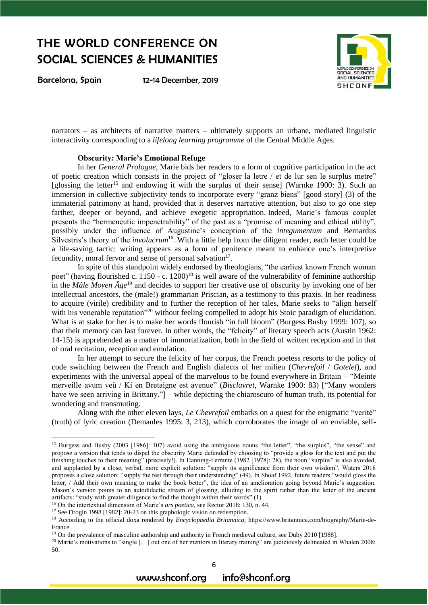Barcelona, Spain

**.** 

12-14 December, 2019



narrators – as architects of narrative matters – ultimately supports an urbane, mediated linguistic interactivity corresponding to a *lifelong learning programme* of the Central Middle Ages.

#### **Obscurity: Marie's Emotional Refuge**

In her *General Prologue*, Marie bids her readers to a form of cognitive participation in the act of poetic creation which consists in the project of "gloser la letre / et de lur sen le surplus metre" [glossing the letter<sup>15</sup> and endowing it with the surplus of their sense] (Warnke 1900:  $\overline{3}$ ). Such an immersion in collective subjectivity tends to incorporate every "granz biens" [good story] (3) of the immaterial patrimony at hand, provided that it deserves narrative attention, but also to go one step farther, deeper or beyond, and achieve exegetic appropriation. Indeed, Marie's famous couplet presents the "hermeneutic impenetrability" of the past as a "promise of meaning and ethical utility", possibly under the influence of Augustine's conception of the *integumentum* and Bernardus Silvestris's theory of the *involucrum*<sup>16</sup>. With a little help from the diligent reader, each letter could be a life-saving tactic: writing appears as a form of penitence meant to enhance one's interpretive fecundity, moral fervor and sense of personal salvation<sup>17</sup>.

In spite of this standpoint widely endorsed by theologians, "the earliest known French woman poet" (having flourished c.  $1150 - c$ .  $1200$ <sup>18</sup> is well aware of the vulnerability of feminine authorship in the *Mâle Moyen Âge*<sup>19</sup> and decides to support her creative use of obscurity by invoking one of her intellectual ancestors, the (male!) grammarian Priscian, as a testimony to this praxis. In her readiness to acquire (virile) credibility and to further the reception of her tales, Marie seeks to "align herself with his venerable reputation"<sup>20</sup> without feeling compelled to adopt his Stoic paradigm of elucidation. What is at stake for her is to make her words flourish "in full bloom" (Burgess Busby 1999: 107), so that their memory can last forever. In other words, the "felicity" of literary speech acts (Austin 1962: 14-15) is apprehended as a matter of immortalization, both in the field of written reception and in that of oral recitation, reception and emulation.

In her attempt to secure the felicity of her corpus, the French poetess resorts to the policy of code switching between the French and English dialects of her milieu (*Chevrefoil* / *Gotelef*), and experiments with the universal appeal of the marvelous to be found everywhere in Britain – "Meinte merveille avum veü / Ki en Bretaigne est avenue" (*Bisclavret*, Warnke 1900: 83) ["Many wonders have we seen arriving in Brittany."] – while depicting the chiaroscuro of human truth, its potential for wondering and transmuting.

Along with the other eleven lays, *Le Chevrefoil* embarks on a quest for the enigmatic "verité" (truth) of lyric creation (Demaules 1995: 3, 213), which corroborates the image of an enviable, self-

<sup>16</sup> On the intertextual dimension of Marie's *ars poetica*, see Rector 2018: 130, n. 44.

<sup>17</sup> See Drogin 1998 [1982]: 20-23 on this graphologic vision on redemption.

<sup>20</sup> Marie's motivations to "single [...] out one of her mentors in literary training" are judiciously delineated in Whalen 2008: 50.

6

info@shconf.org

<sup>15</sup> Burgess and Busby (2003 [1986]: 107) avoid using the ambiguous nouns "the letter", "the surplus", "the sense" and propose a version that tends to dispel the obscurity Marie defended by choosing to "provide a gloss for the text and put the finishing touches to their meaning" (precisely!). In Hanning-Ferrante (1982 [1978]: 28), the noun "surplus" is also avoided, and supplanted by a close, verbal, more explicit solution: "supply its significance from their own wisdom". Waters 2018 proposes a close solution: "supply the rest through their understanding" (49). In Shoaf 1992, future readers "would gloss the letter, / Add their own meaning to make the book better", the idea of an amelioration going beyond Marie's suggestion. Mason's version points to an autodidactic stream of glossing, alluding to the spirit rather than the letter of the ancient artifacts: "study with greater diligence to find the thought within their words" (1).

<sup>18</sup> According to the official doxa rendered by *[Encyclopaedia](https://www.britannica.com/editor/The-Editors-of-Encyclopaedia-Britannica/4419) [Britannica,](https://www.britannica.com/editor/The-Editors-of-Encyclopaedia-Britannica/4419)* https://www.britannica.com/biography/Marie-de-France.

<sup>&</sup>lt;sup>19</sup> On the prevalence of masculine authorship and authority in French medieval culture, see Duby 2010 [1988].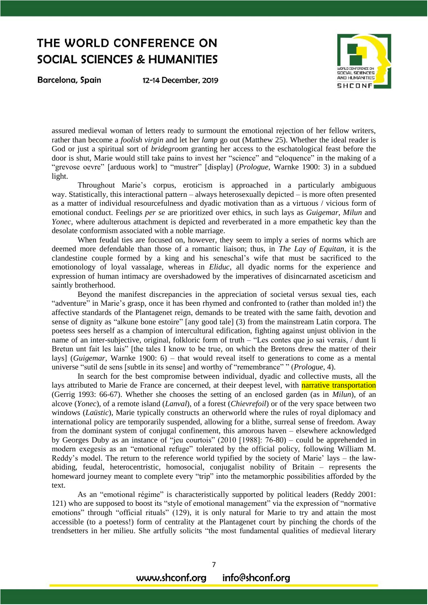Barcelona, Spain

12-14 December, 2019



assured medieval woman of letters ready to surmount the emotional rejection of her fellow writers, rather than become a *foolish virgin* and let her *lamp* go out (Matthew 25). Whether the ideal reader is God or just a spiritual sort of *bridegroom* granting her access to the eschatological feast before the door is shut, Marie would still take pains to invest her "science" and "eloquence" in the making of a "grevose oevre" [arduous work] to "mustrer" [display] (*Prologue*, Warnke 1900: 3) in a subdued light.

Throughout Marie's corpus, eroticism is approached in a particularly ambiguous way. Statistically, this interactional pattern – always heterosexually depicted – is more often presented as a matter of individual resourcefulness and dyadic motivation than as a virtuous / vicious form of emotional conduct. Feelings *per se* are prioritized over ethics, in such lays as *Guigemar*, *Milun* and *Yonec*, where adulterous attachment is depicted and reverberated in a more empathetic key than the desolate conformism associated with a noble marriage.

When feudal ties are focused on, however, they seem to imply a series of norms which are deemed more defendable than those of a romantic liaison; thus, in *The Lay of Equitan*, it is the clandestine couple formed by a king and his seneschal's wife that must be sacrificed to the emotionology of loyal vassalage, whereas in *Eliduc*, all dyadic norms for the experience and expression of human intimacy are overshadowed by the imperatives of disincarnated asceticism and saintly brotherhood.

Beyond the manifest discrepancies in the appreciation of societal versus sexual ties, each "adventure" in Marie's grasp, once it has been rhymed and confronted to (rather than molded in!) the affective standards of the Plantagenet reign, demands to be treated with the same faith, devotion and sense of dignity as "alkune bone estoire" [any good tale] (3) from the mainstream Latin corpora. The poetess sees herself as a champion of intercultural edification, fighting against unjust oblivion in the name of an inter-subjective, original, folkloric form of truth – "Les contes que jo sai verais, / dunt li Bretun unt fait les lais" [the tales I know to be true, on which the Bretons drew the matter of their lays] (*Guigemar*, Warnke 1900: 6) – that would reveal itself to generations to come as a mental universe "sutil de sens [subtle in its sense] and worthy of "remembrance" " (*Prologue*, 4).

In search for the best compromise between individual, dyadic and collective musts, all the lays attributed to Marie de France are concerned, at their deepest level, with narrative transportation (Gerrig 1993: 66-67). Whether she chooses the setting of an enclosed garden (as in *Milun*), of an alcove (*Yonec*), of a remote island (*Lanval*), of a forest (*Chievrefoil*) or of the very space between two windows (*Laüstic*), Marie typically constructs an otherworld where the rules of royal diplomacy and international policy are temporarily suspended, allowing for a blithe, surreal sense of freedom. Away from the dominant system of conjugal confinement, this amorous haven – elsewhere acknowledged by Georges Duby as an instance of "jeu courtois" (2010 [1988]: 76-80) – could be apprehended in modern exegesis as an "emotional refuge" tolerated by the official policy, following William M. Reddy's model. The return to the reference world typified by the society of Marie' lays – the lawabiding, feudal, heterocentristic, homosocial, conjugalist nobility of Britain – represents the homeward journey meant to complete every "trip" into the metamorphic possibilities afforded by the text.

As an "emotional régime" is characteristically supported by political leaders (Reddy 2001: 121) who are supposed to boost its "style of emotional management" via the expression of "normative emotions" through "official rituals" (129), it is only natural for Marie to try and attain the most accessible (to a poetess!) form of centrality at the Plantagenet court by pinching the chords of the trendsetters in her milieu. She artfully solicits "the most fundamental qualities of medieval literary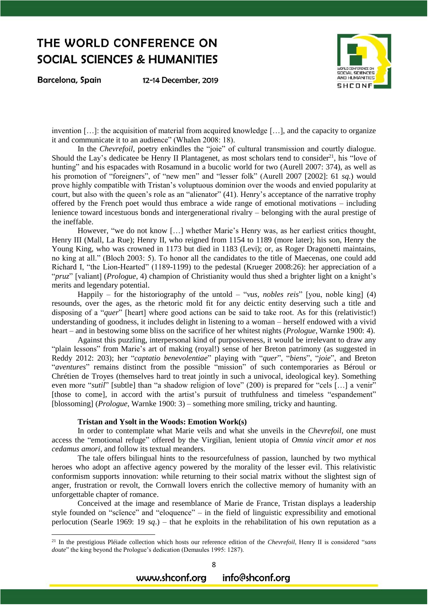Barcelona, Spain

1

12-14 December, 2019



invention […]: the acquisition of material from acquired knowledge […], and the capacity to organize it and communicate it to an audience" (Whalen 2008: 18).

In the *Chevrefoil*, poetry enkindles the "joie" of cultural transmission and courtly dialogue. Should the Lay's dedicatee be Henry II Plantagenet, as most scholars tend to consider<sup>21</sup>, his "love of hunting" and his espacades with Rosamund in a bucolic world for two (Aurell 2007: 374), as well as his promotion of "foreigners", of "new men" and "lesser folk" (Aurell 2007 [2002]: 61 *sq*.) would prove highly compatible with Tristan's voluptuous dominion over the woods and envied popularity at court, but also with the queen's role as an "alienator" (41). Henry's acceptance of the narrative trophy offered by the French poet would thus embrace a wide range of emotional motivations – including lenience toward incestuous bonds and intergenerational rivalry – belonging with the aural prestige of the ineffable.

However, "we do not know […] whether Marie's Henry was, as her earliest critics thought, Henry III (Mall, La Rue); Henry II, who reigned from 1154 to 1189 (more later); his son, Henry the Young King, who was crowned in 1173 but died in 1183 (Levi); or, as Roger Dragonetti maintains, no king at all." (Bloch 2003: 5). To honor all the candidates to the title of Maecenas, one could add Richard I, "the Lion-Hearted" (1189-1199) to the pedestal (Krueger 2008:26): her appreciation of a "*pruz*" [valiant] (*Prologue*, 4) champion of Christianity would thus shed a brighter light on a knight's merits and legendary potential.

Happily – for the historiography of the untold – "*vus, nobles reis*" [you, noble king] (4) resounds, over the ages, as the rhetoric mold fit for any deictic entity deserving such a title and disposing of a "*quer*" [heart] where good actions can be said to take root. As for this (relativistic!) understanding of goodness, it includes delight in listening to a woman – herself endowed with a vivid heart – and in bestowing some bliss on the sacrifice of her whitest nights (*Prologue*, Warnke 1900: 4).

Against this puzzling, interpersonal kind of purposiveness, it would be irrelevant to draw any "plain lessons" from Marie's art of making (royal!) sense of her Breton patrimony (as suggested in Reddy 2012: 203); her "*captatio benevolentiae*" playing with "*quer*", "*biens*", "*joie*", and Breton "*aventures*" remains distinct from the possible "mission" of such contemporaries as Béroul or Chrétien de Troyes (themselves hard to treat jointly in such a univocal, ideological key). Something even more "*sutil*" [subtle] than "a shadow religion of love" (200) is prepared for "cels [...] a venir" [those to come], in accord with the artist's pursuit of truthfulness and timeless "espandement" [blossoming] (*Prologue*, Warnke 1900: 3) – something more smiling, tricky and haunting.

#### **Tristan and Ysolt in the Woods: Emotion Work(s)**

In order to contemplate what Marie veils and what she unveils in the *Chevrefoil*, one must access the "emotional refuge" offered by the Virgilian, lenient utopia of *Omnia vincit amor et nos cedamus amori*, and follow its textual meanders.

The tale offers bilingual hints to the resourcefulness of passion, launched by two mythical heroes who adopt an affective agency powered by the morality of the lesser evil. This relativistic conformism supports innovation: while returning to their social matrix without the slightest sign of anger, frustration or revolt, the Cornwall lovers enrich the collective memory of humanity with an unforgettable chapter of romance.

Conceived at the image and resemblance of Marie de France, Tristan displays a leadership style founded on "scïence" and "eloquence" – in the field of linguistic expressibility and emotional perlocution (Searle 1969: 19 *sq*.) – that he exploits in the rehabilitation of his own reputation as a

<sup>21</sup> In the prestigious Pléiade collection which hosts our reference edition of the *Chevrefoil*, Henry II is considered "*sans doute*" the king beyond the Prologue's dedication (Demaules 1995: 1287).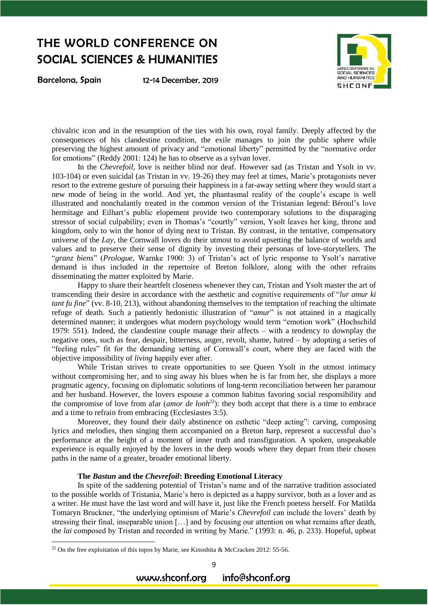Barcelona, Spain

**.** 

12-14 December, 2019



chivalric icon and in the resumption of the ties with his own, royal family. Deeply affected by the consequences of his clandestine condition, the exile manages to join the public sphere while preserving the highest amount of privacy and "emotional liberty" permitted by the "normative order for emotions" (Reddy 2001: 124) he has to observe as a sylvan lover.

In the *Chevrefoil*, love is neither blind nor deaf. However sad (as Tristan and Ysolt in vv. 103-104) or even suicidal (as Tristan in vv. 19-26) they may feel at times, Marie's protagonists never resort to the extreme gesture of pursuing their happiness in a far-away setting where they would start a new mode of being in the world. And yet, the phantasmal reality of the couple's escape is well illustrated and nonchalantly treated in the common version of the Tristanian legend: Béroul's love hermitage and Eilhart's public elopement provide two contemporary solutions to the disparaging stressor of social culpability; even in Thomas's "courtly" version, Ysolt leaves her king, throne and kingdom, only to win the honor of dying next to Tristan. By contrast, in the tentative, compensatory universe of the *Lay*, the Cornwall lovers do their utmost to avoid upsetting the balance of worlds and values and to preserve their sense of dignity by investing their personas of love-storytellers. The "*granz biens*" (*Prologue*, Warnke 1900: 3) of Tristan's act of lyric response to Ysolt's narrative demand is thus included in the repertoire of Breton folklore, along with the other refrains disseminating the matter exploited by Marie.

Happy to share their heartfelt closeness whenever they can, Tristan and Ysolt master the art of transcending their desire in accordance with the aesthetic and cognitive requirements of "*lur amur ki tant fu fine*" (vv. 8-10, 213), without abandoning themselves to the temptation of reaching the ultimate refuge of death. Such a patiently hedonistic illustration of "*amur*" is not attained in a magically determined manner; it undergoes what modern psychology would term "emotion work" (Hochschild 1979: 551). Indeed, the clandestine couple manage their affects – with a tendency to downplay the negative ones, such as fear, despair, bitterness, anger, revolt, shame, hatred – by adopting a series of "feeling rules" fit for the demanding setting of Cornwall's court, where they are faced with the objective impossibility of *living* happily ever after.

While Tristan strives to create opportunities to see Queen Ysolt in the utmost intimacy without compromising her, and to sing away his blues when he is far from her, she displays a more pragmatic agency, focusing on diplomatic solutions of long-term reconciliation between her paramour and her husband. However, the lovers espouse a common habitus favoring social responsibility and the compromise of love from afar (*amor de lonh*<sup>22</sup>): they both accept that there is a time to embrace and a time to refrain from embracing (Ecclesiastes 3:5).

Moreover, they found their daily abstinence on esthetic "deep acting": carving, composing lyrics and melodies, then singing them accompanied on a Breton harp, represent a successful duo's performance at the height of a moment of inner truth and transfiguration. A spoken, unspeakable experience is equally enjoyed by the lovers in the deep woods where they depart from their chosen paths in the name of a greater, broader emotional liberty.

#### **The** *Bastun* **and the** *Chevrefoil***: Breeding Emotional Literacy**

In spite of the saddening potential of Tristan's name and of the narrative tradition associated to the possible worlds of Tristania, Marie's hero is depicted as a happy survivor, both as a lover and as a writer. He must have the last word and will have it, just like the French poetess herself. For Matilda Tomaryn Bruckner, "the underlying optimism of Marie's *Chevrefoil* can include the lovers' death by stressing their final, inseparable union […] and by focusing our attention on what remains after death, the *lai* composed by Tristan and recorded in writing by Marie." (1993: n. 46, p. 233). Hopeful, upbeat

<sup>&</sup>lt;sup>22</sup> On the free exploitation of this topos by Marie, see Kinoshita & McCracken 2012: 55-56.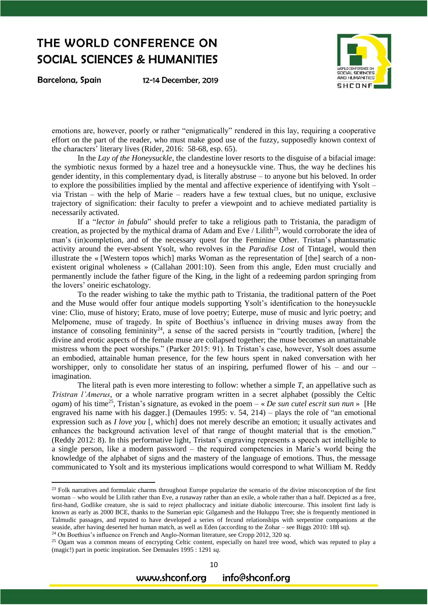Barcelona, Spain

1

12-14 December, 2019



emotions are, however, poorly or rather "enigmatically" rendered in this lay, requiring a cooperative effort on the part of the reader, who must make good use of the fuzzy, supposedly known context of the characters' literary lives (Rider, 2016: 58-68, esp. 65).

In the *Lay of the Honeysuckle*, the clandestine lover resorts to the disguise of a bifacial image: the symbiotic nexus formed by a hazel tree and a honeysuckle vine. Thus, the way he declines his gender identity, in this complementary dyad, is literally abstruse – to anyone but his beloved. In order to explore the possibilities implied by the mental and affective experience of identifying with Ysolt – via Tristan – with the help of Marie – readers have a few textual clues, but no unique, exclusive trajectory of signification: their faculty to prefer a viewpoint and to achieve mediated partiality is necessarily activated.

If a "*lector in fabula*" should prefer to take a religious path to Tristania, the paradigm of creation, as projected by the mythical drama of Adam and Eve / Lilith<sup>23</sup>, would corroborate the idea of man's (in)completion, and of the necessary quest for the Feminine Other. Tristan's phantasmatic activity around the ever-absent Ysolt, who revolves in the *Paradise Lost* of Tintagel, would then illustrate the « [Western topos which] marks Woman as the representation of [the] search of a nonexistent original wholeness » (Callahan 2001:10). Seen from this angle, Eden must crucially and permanently include the father figure of the King, in the light of a redeeming pardon springing from the lovers' oneiric eschatology.

To the reader wishing to take the mythic path to Tristania, the traditional pattern of the Poet and the Muse would offer four antique models supporting Ysolt's identification to the honeysuckle vine: Clio, muse of history; Erato, muse of love poetry; Euterpe, muse of music and lyric poetry; and Melpomene, muse of tragedy. In spite of Boethius's influence in driving muses away from the instance of consoling femininity<sup>24</sup>, a sense of the sacred persists in "courtly tradition, [where] the divine and erotic aspects of the female muse are collapsed together; the muse becomes an unattainable mistress whom the poet worships." (Parker 2015: 91). In Tristan's case, however, Ysolt does assume an embodied, attainable human presence, for the few hours spent in naked conversation with her worshipper, only to consolidate her status of an inspiring, perfumed flower of his – and our – imagination.

The literal path is even more interesting to follow: whether a simple *T*, an appellative such as *Tristran l'Amerus*, or a whole narrative program written in a secret alphabet (possibly the Celtic *ogam*) of his time<sup>25</sup>, Tristan's signature, as evoked in the poem  $-\alpha$  *De sun cutel escrit sun nun* » [He engraved his name with his dagger.] (Demaules 1995: v. 54, 214) – plays the role of "an emotional expression such as *I love you* [, which] does not merely describe an emotion; it usually activates and enhances the background activation level of that range of thought material that is the emotion." (Reddy 2012: 8). In this performative light, Tristan's engraving represents a speech act intelligible to a single person, like a modern password – the required competencies in Marie's world being the knowledge of the alphabet of signs and the mastery of the language of emotions. Thus, the message communicated to Ysolt and its mysterious implications would correspond to what William M. Reddy

<sup>24</sup> On Boethius's influence on French and Anglo-Norman literature, see Cropp 2012, 320 *sq*.

<sup>&</sup>lt;sup>23</sup> Folk narratives and formulaic charms throughout Europe popularize the scenario of the divine misconception of the first woman – who would be Lilith rather than Eve, a runaway rather than an exile, a whole rather than a half. Depicted as a free, first-hand, Godlike creature, she is said to reject phallocracy and initiate diabolic intercourse. This insolent first lady is known as early as 2000 BCE, thanks to the Sumerian epic Gilgamesh and the Huluppu Tree; she is frequently mentioned in Talmudic passages, and reputed to have developed a series of fecund relationships with serpentine companions at the seaside, after having deserted her human match, as well as Eden (according to the Zohar – see Biggs 2010: 188 sq).

<sup>&</sup>lt;sup>25</sup> Ogam was a common means of encrypting Celtic content, especially on hazel tree wood, which was reputed to play a (magic!) part in poetic inspiration. See Demaules 1995 : 1291 *sq*.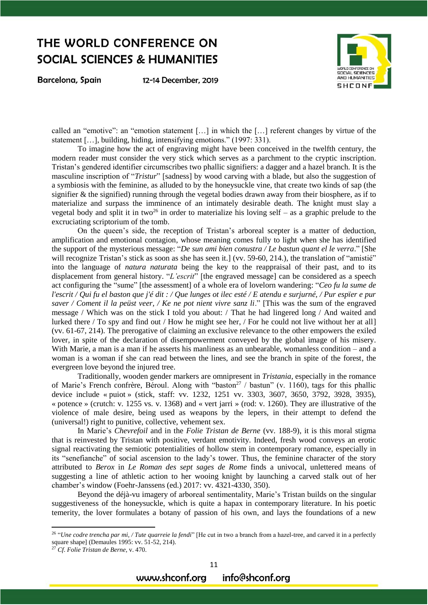Barcelona, Spain

12-14 December, 2019



called an "emotive": an "emotion statement […] in which the […] referent changes by virtue of the statement […], building, hiding, intensifying emotions." (1997: 331).

To imagine how the act of engraving might have been conceived in the twelfth century, the modern reader must consider the very stick which serves as a parchment to the cryptic inscription. Tristan's gendered identifier circumscribes two phallic signifiers: a dagger and a hazel branch. It is the masculine inscription of "*Tristur*" [sadness] by wood carving with a blade, but also the suggestion of a symbiosis with the feminine, as alluded to by the honeysuckle vine, that create two kinds of sap (the signifier & the signified) running through the vegetal bodies drawn away from their biosphere, as if to materialize and surpass the imminence of an intimately desirable death. The knight must slay a vegetal body and split it in two<sup>26</sup> in order to materialize his loving self – as a graphic prelude to the excruciating scriptorium of the tomb.

On the queen's side, the reception of Tristan's arboreal scepter is a matter of deduction, amplification and emotional contagion, whose meaning comes fully to light when she has identified the support of the mysterious message: "*De sun ami bien conustra / Le bastun quant el le verra*." [She will recognize Tristan's stick as soon as she has seen it.] (vv. 59-60, 214.), the translation of "amistié" into the language of *natura naturata* being the key to the reappraisal of their past, and to its displacement from general history. "*L'escrit*" [the engraved message] can be considered as a speech act configuring the "sume" [the assessment] of a whole era of lovelorn wandering: "*Ceo fu la sume de l'escrit / Qui fu el baston que j'é dit : / Que lunges ot ilec esté / E atendu e surjurné, / Pur espïer e pur saver / Coment il la peüst veer, / Ke ne pot nient vivre sanz li*." [This was the sum of the engraved message / Which was on the stick I told you about: / That he had lingered long / And waited and lurked there / To spy and find out / How he might see her, / For he could not live without her at all] (vv. 61-67, 214). The prerogative of claiming an exclusive relevance to the other empowers the exiled lover, in spite of the declaration of disempowerment conveyed by the global image of his misery. With Marie, a man is a man if he asserts his manliness as an unbearable, womanless condition – and a woman is a woman if she can read between the lines, and see the branch in spite of the forest, the evergreen love beyond the injured tree.

Traditionally, wooden gender markers are omnipresent in *Tristania*, especially in the romance of Marie's French confrère, Béroul. Along with "baston<sup>27</sup> / bastun" (v. 1160), tags for this phallic device include « puiot » (stick, staff: vv. 1232, 1251 vv. 3303, 3607, 3650, 3792, 3928, 3935), « potence » (crutch: v. 1255 vs. v. 1368) and « vert jarri » (rod: v. 1260). They are illustrative of the violence of male desire, being used as weapons by the lepers, in their attempt to defend the (universal!) right to punitive, collective, vehement sex.

In Marie's *Chevrefoil* and in the *Folie Tristan de Berne* (vv. 188-9), it is this moral stigma that is reinvested by Tristan with positive, verdant emotivity. Indeed, fresh wood conveys an erotic signal reactivating the semiotic potentialities of hollow stem in contemporary romance, especially in its "senefianche" of social ascension to the lady's tower. Thus, the feminine character of the story attributed to *Berox* in *Le Roman des sept sages de Rome* finds a univocal, unlettered means of suggesting a line of athletic action to her wooing knight by launching a carved stalk out of her chamber's window (Foehr-Janssens (ed.) 2017: vv. 4321-4330, 350).

Beyond the déjà-vu imagery of arboreal sentimentality, Marie's Tristan builds on the singular suggestiveness of the honeysuckle, which is quite a hapax in contemporary literature. In his poetic temerity, the lover formulates a botany of passion of his own, and lays the foundations of a new

**.** 

<sup>&</sup>lt;sup>26</sup> "Une codre trencha par mi, / Tute quarreie la fendi" [He cut in two a branch from a hazel-tree, and carved it in a perfectly square shape] (Demaules 1995: vv. 51-52, 214).

<sup>27</sup> *Cf*. *Folie Tristan de Berne*, v. 470.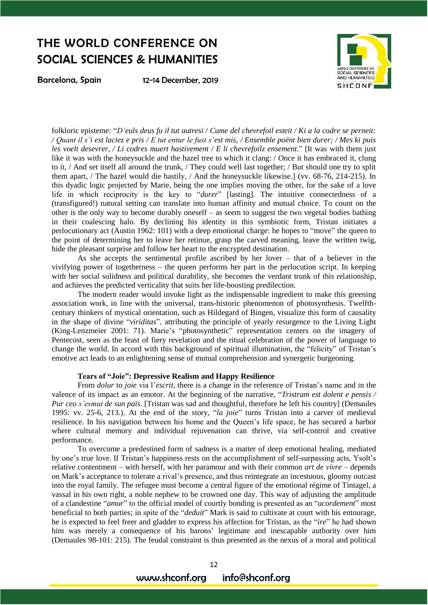Barcelona, Spain

12-14 December, 2019



folkloric episteme: "*D'euls deus fu il tut autresi / Cume del chevrefoil esteit / Ki a la codre se perneit: / Quant il s'i est laciez e pris / E tut entur le fust s'est mis, / Ensemble poënt bien durer; / Mes ki puis les voelt desevrer, / Li codres muert hastivement / E li chevrefoilz ensement*." [It was with them just like it was with the honeysuckle and the hazel tree to which it clang: / Once it has embraced it, clung to it, / And set itself all around the trunk, / They could well last together; / But should one try to split them apart, / The hazel would die hastily, / And the honeysuckle likewise.] (vv. 68-76, 214-215). In this dyadic logic projected by Marie, being the one implies moving the other, for the sake of a love life in which reciprocity is the key to "*durer*" [lasting]. The intuitive connectedness of a (transfigured!) natural setting can translate into human affinity and mutual choice. To count on the other is the only way to become durably oneself – as seem to suggest the two vegetal bodies bathing in their coalescing halo. By declining his identity in this symbiotic form, Tristan initiates a perlocutionary act (Austin 1962: 101) with a deep emotional charge: he hopes to "move" the queen to the point of determining her to leave her retinue, grasp the carved meaning, leave the written twig, hide the pleasant surprise and follow her heart to the encrypted destination.

As she accepts the sentimental profile ascribed by her lover – that of a believer in the vivifying power of togetherness – the queen performs her part in the perlocution script. In keeping with her social solidness and political durability, she becomes the verdant trunk of this relationship, and achieves the predicted verticality that suits her life-boosting predilection.

The modern reader would invoke light as the indispensable ingredient to make this greening association work, in line with the universal, trans-historic phenomenon of photosynthesis. Twelfthcentury thinkers of mystical orientation, such as Hildegard of Bingen, visualize this form of causality in the shape of divine "*viriditas*", attributing the principle of yearly resurgence to the Living Light (King-Lenzmeier 2001: 71). Marie's "photosynthetic" representation centers on the imagery of Pentecost, seen as the feast of fiery revelation and the ritual celebration of the power of language to change the world. In accord with this background of spiritual illumination, the "felicity" of Tristan's emotive act leads to an enlightening sense of mutual comprehension and synergetic burgeoning.

#### **Tears of "Joie": Depressive Realism and Happy Resilience**

From *dolur* to *joie* via l'*escrit*, there is a change in the reference of Tristan's name and in the valence of its impact as an emotor. At the beginning of the narrative, "*Tristram est dolent e pensis / Pur ceo s'esmut de sun païs*. [Tristan was sad and thoughtful, therefore he left his country] (Demaules 1995: vv. 25-6, 213.). At the end of the story, "*la joie*" turns Tristan into a carver of medieval resilience. In his navigation between his home and the Queen's life space, he has secured a harbor where cultural memory and individual rejuvenation can thrive, via self-control and creative performance.

To overcome a predestined form of sadness is a matter of deep emotional healing, mediated by one's true love. If Tristan's happiness rests on the accomplishment of self-surpassing acts, Ysolt's relative contentment – with herself, with her paramour and with their common *art de vivre* – depends on Mark's acceptance to tolerate a rival's presence, and thus reintegrate an incestuous, gloomy outcast into the royal family. The refugee must become a central figure of the emotional régime of Tintagel, a vassal in his own right, a noble nephew to be crowned one day. This way of adjusting the amplitude of a clandestine "*amur*" to the official model of courtly bonding is presented as an "*acordement*" most beneficial to both parties; in spite of the "*deduit*" Mark is said to cultivate at court with his entourage, he is expected to feel freer and gladder to express his affection for Tristan, as the "*ire*" he had shown him was merely a consequence of his barons' legitimate and inescapable authority over him (Demaules 98-101: 215). The feudal constraint is thus presented as the nexus of a moral and political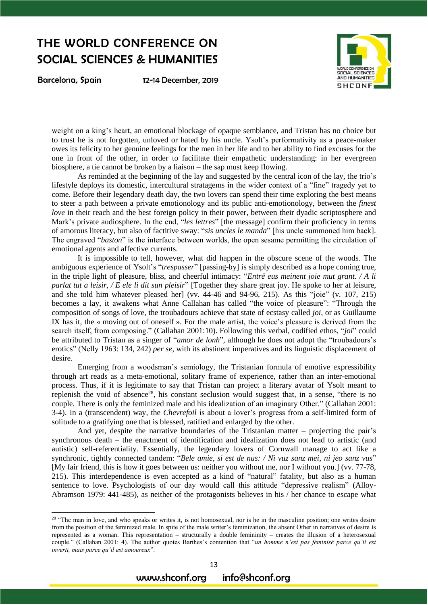Barcelona, Spain

**.** 

12-14 December, 2019



weight on a king's heart, an emotional blockage of opaque semblance, and Tristan has no choice but to trust he is not forgotten, unloved or hated by his uncle. Ysolt's performativity as a peace-maker owes its felicity to her genuine feelings for the men in her life and to her ability to find excuses for the one in front of the other, in order to facilitate their empathetic understanding: in her evergreen biosphere, a tie cannot be broken by a liaison – the sap must keep flowing.

As reminded at the beginning of the lay and suggested by the central icon of the lay, the trio's lifestyle deploys its domestic, intercultural stratagems in the wider context of a "fine" tragedy yet to come. Before their legendary death day, the two lovers can spend their time exploring the best means to steer a path between a private emotionology and its public anti-emotionology, between the *finest love* in their reach and the best foreign policy in their power, between their dyadic scriptosphere and Mark's private audiosphere. In the end, "*les lettres*" [the message] confirm their proficiency in terms of amorous literacy, but also of factitive sway: "*sis uncles le manda*" [his uncle summoned him back]. The engraved "*baston*" is the interface between worlds, the open sesame permitting the circulation of emotional agents and affective currents.

It is impossible to tell, however, what did happen in the obscure scene of the woods. The ambiguous experience of Ysolt's "*trespasser*" [passing-by] is simply described as a hope coming true, in the triple light of pleasure, bliss, and cheerful intimacy: "*Entrë eus meinent joie mut grant. / A li parlat tut a leisir, / E ele li dit sun pleisir*" [Together they share great joy. He spoke to her at leisure, and she told him whatever pleased her] (vv. 44-46 and 94-96, 215). As this "joie" (v. 107, 215) becomes a lay, it awakens what Anne Callahan has called "the voice of pleasure": "Through the composition of songs of love, the troubadours achieve that state of ecstasy called *joi*, or as Guillaume IX has it, the « moving out of oneself ». For the male artist, the voice's pleasure is derived from the search itself, from composing." (Callahan 2001:10). Following this verbal, codified ethos, "*joi*" could be attributed to Tristan as a singer of "*amor de lonh*", although he does not adopt the "troubadours's erotics" (Nelly 1963: 134, 242) *per se*, with its abstinent imperatives and its linguistic displacement of desire.

Emerging from a woodsman's semiology, the Tristanian formula of emotive expressibility through art reads as a meta-emotional, solitary frame of experience, rather than an inter-emotional process. Thus, if it is legitimate to say that Tristan can project a literary avatar of Ysolt meant to replenish the void of absence<sup>28</sup>, his constant seclusion would suggest that, in a sense, "there is no couple. There is only the feminized male and his idealization of an imaginary Other." (Callahan 2001: 3-4). In a (transcendent) way, the *Chevrefoil* is about a lover's progress from a self-limited form of solitude to a gratifying one that is blessed, ratified and enlarged by the other.

And yet, despite the narrative boundaries of the Tristanian matter – projecting the pair's synchronous death – the enactment of identification and idealization does not lead to artistic (and autistic) self-referentiality. Essentially, the legendary lovers of Cornwall manage to act like a synchronic, tightly connected tandem: "*Bele amie, si est de nus: / Ni vuz sanz mei, ni jeo sanz vus*" [My fair friend, this is how it goes between us: neither you without me, nor I without you.] (vv. 77-78, 215). This interdependence is even accepted as a kind of "natural" fatality, but also as a human sentence to love. Psychologists of our day would call this attitude "depressive realism" (Alloy-Abramson 1979: 441-485), as neither of the protagonists believes in his / her chance to escape what

<sup>&</sup>lt;sup>28</sup> "The man in love, and who speaks or writes it, is not homosexual, nor is he in the masculine position; one writes desire from the position of the feminized male. In spite of the male writer's feminization, the absent Other in narratives of desire is represented as a woman. This representation – structurally a double femininity – creates the illusion of a heterosexual couple." (Callahan 2001: 4). The author quotes Barthes's contention that "*un homme n'est pas féminisé parce qu'il est inverti, mais parce qu'il est amoureux*".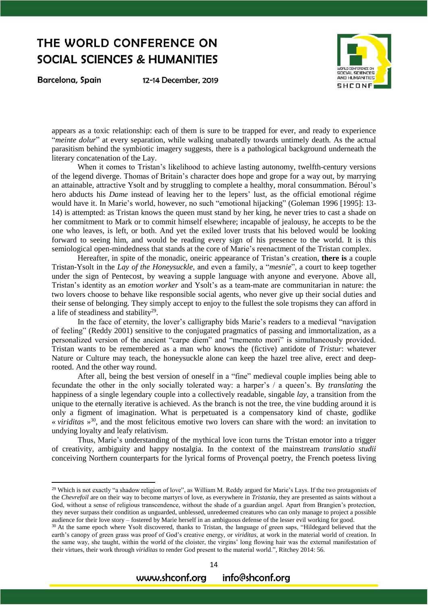Barcelona, Spain

1

12-14 December, 2019



appears as a toxic relationship: each of them is sure to be trapped for ever, and ready to experience "*meinte dolur*" at every separation, while walking unabatedly towards untimely death. As the actual parasitism behind the symbiotic imagery suggests, there is a pathological background underneath the literary concatenation of the Lay.

When it comes to Tristan's likelihood to achieve lasting autonomy, twelfth-century versions of the legend diverge. Thomas of Britain's character does hope and grope for a way out, by marrying an attainable, attractive Ysolt and by struggling to complete a healthy, moral consummation. Béroul's hero abducts his *Dame* instead of leaving her to the lepers' lust, as the official emotional régime would have it. In Marie's world, however, no such "emotional hijacking" (Goleman 1996 [1995]: 13- 14) is attempted: as Tristan knows the queen must stand by her king, he never tries to cast a shade on her commitment to Mark or to commit himself elsewhere; incapable of jealousy, he accepts to be the one who leaves, is left, or both. And yet the exiled lover trusts that his beloved would be looking forward to seeing him, and would be reading every sign of his presence to the world. It is this semiological open-mindedness that stands at the core of Marie's reenactment of the Tristan complex.

Hereafter, in spite of the monadic, oneiric appearance of Tristan's creation, **there is** a couple Tristan-Ysolt in the *Lay of the Honeysuckle*, and even a family, a "*mesnie*", a court to keep together under the sign of Pentecost, by weaving a supple language with anyone and everyone. Above all, Tristan's identity as an *emotion worker* and Ysolt's as a team-mate are communitarian in nature: the two lovers choose to behave like responsible social agents, who never give up their social duties and their sense of belonging. They simply accept to enjoy to the fullest the sole tropisms they can afford in a life of steadiness and stability $^{29}$ .

In the face of eternity, the lover's calligraphy bids Marie's readers to a medieval "navigation of feeling" (Reddy 2001) sensitive to the conjugated pragmatics of passing and immortalization, as a personalized version of the ancient "carpe diem" and "memento mori" is simultaneously provided. Tristan wants to be remembered as a man who knows the (fictive) antidote of *Tristur*: whatever Nature or Culture may teach, the honeysuckle alone can keep the hazel tree alive, erect and deeprooted. And the other way round.

After all, being the best version of oneself in a "fine" medieval couple implies being able to fecundate the other in the only socially tolerated way: a harper's / a queen's. By *translating* the happiness of a single legendary couple into a collectively readable, singable *lay*, a transition from the unique to the eternally iterative is achieved. As the branch is not the tree, the vine budding around it is only a figment of imagination. What is perpetuated is a compensatory kind of chaste, godlike « *viriditas* » 30 , and the most felicitous emotive two lovers can share with the word: an invitation to undying loyalty and leafy relativism.

Thus, Marie's understanding of the mythical love icon turns the Tristan emotor into a trigger of creativity, ambiguity and happy nostalgia. In the context of the mainstream *translatio studii* conceiving Northern counterparts for the lyrical forms of Provençal poetry, the French poetess living

 $29$  Which is not exactly "a shadow religion of love", as William M. Reddy argued for Marie's Lays. If the two protagonists of the *Chevrefoil* are on their way to become martyrs of love, as everywhere in *Tristania*, they are presented as saints without a God, without a sense of religious transcendence, without the shade of a guardian angel. Apart from Brangien's protection, they never surpass their condition as unguarded, unblessed, unredeemed creatures who can only manage to project a possible audience for their love story – fostered by Marie herself in an ambiguous defense of the lesser evil working for good.

<sup>&</sup>lt;sup>30</sup> At the same epoch where Ysolt discovered, thanks to Tristan, the language of green saps, "Hildegard believed that the earth's canopy of green grass was proof of God's creative energy, or *viriditas*, at work in the material world of creation. In the same way, she taught, within the world of the cloister, the virgins' long flowing hair was the external manifestation of their virtues, their work through *viriditas* to render God present to the material world.", Ritchey 2014: 56.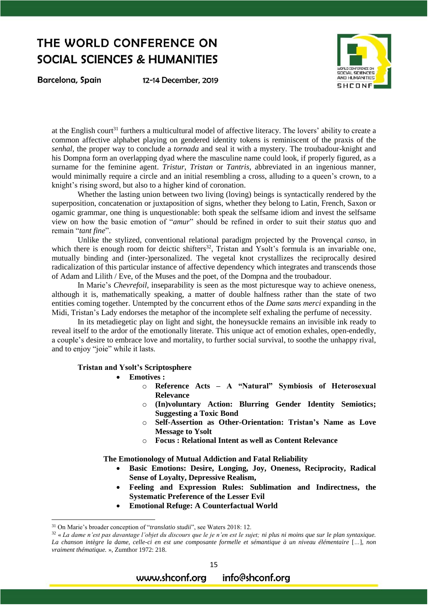**Barcelona, Spain** 

12-14 December, 2019



at the English court<sup>31</sup> furthers a multicultural model of affective literacy. The lovers' ability to create a common affective alphabet playing on gendered identity tokens is reminiscent of the praxis of the *senhal*, the proper way to conclude a *tornada* and seal it with a mystery. The troubadour-knight and his Dompna form an overlapping dyad where the masculine name could look, if properly figured, as a surname for the feminine agent. *Tristur*, *Tristan* or *Tantris*, abbreviated in an ingenious manner, would minimally require a circle and an initial resembling a cross, alluding to a queen's crown, to a knight's rising sword, but also to a higher kind of coronation.

Whether the lasting union between two living (loving) beings is syntactically rendered by the superposition, concatenation or juxtaposition of signs, whether they belong to Latin, French, Saxon or ogamic grammar, one thing is unquestionable: both speak the selfsame idiom and invest the selfsame view on how the basic emotion of "*amur*" should be refined in order to suit their *status quo* and remain "*tant fine*".

Unlike the stylized, conventional relational paradigm projected by the Provençal *canso*, in which there is enough room for deictic shifters<sup>32</sup>, Tristan and Ysolt's formula is an invariable one, mutually binding and (inter-)personalized. The vegetal knot crystallizes the reciprocally desired radicalization of this particular instance of affective dependency which integrates and transcends those of Adam and Lilith / Eve, of the Muses and the poet, of the Dompna and the troubadour.

In Marie's *Chevrefoil*, inseparability is seen as the most picturesque way to achieve oneness, although it is, mathematically speaking, a matter of double halfness rather than the state of two entities coming together. Untempted by the concurrent ethos of the *Dame sans merci* expanding in the Midi, Tristan's Lady endorses the metaphor of the incomplete self exhaling the perfume of necessity.

In its metadiegetic play on light and sight, the honeysuckle remains an invisible ink ready to reveal itself to the ardor of the emotionally literate. This unique act of emotion exhales, open-endedly, a couple's desire to embrace love and mortality, to further social survival, to soothe the unhappy rival, and to enjoy "joie" while it lasts.

#### **Tristan and Ysolt's Scriptosphere**

- **Emotives :** 
	- o **Reference Acts – A "Natural" Symbiosis of Heterosexual Relevance**
	- o **(In)voluntary Action: Blurring Gender Identity Semiotics; Suggesting a Toxic Bond**
	- o **Self-Assertion as Other-Orientation: Tristan's Name as Love Message to Ysolt**
	- o **Focus : Relational Intent as well as Content Relevance**

**The Emotionology of Mutual Addiction and Fatal Reliability**

- **Basic Emotions: Desire, Longing, Joy, Oneness, Reciprocity, Radical Sense of Loyalty, Depressive Realism,**
- **Feeling and Expression Rules: Sublimation and Indirectness, the Systematic Preference of the Lesser Evil**
- **Emotional Refuge: A Counterfactual World**

1

<sup>31</sup> On Marie's broader conception of "*translatio studii*", see Waters 2018: 12.

<sup>32</sup> « *La dame n'est pas davantage l'objet du discours que le je n'en est le sujet; ni plus ni moins que sur le plan syntaxique. La chanson intègre la dame, celle-ci en est une composante formelle et sémantique à un niveau élémentaire* [*…*]*, non vraiment thématique.* », Zumthor 1972: 218.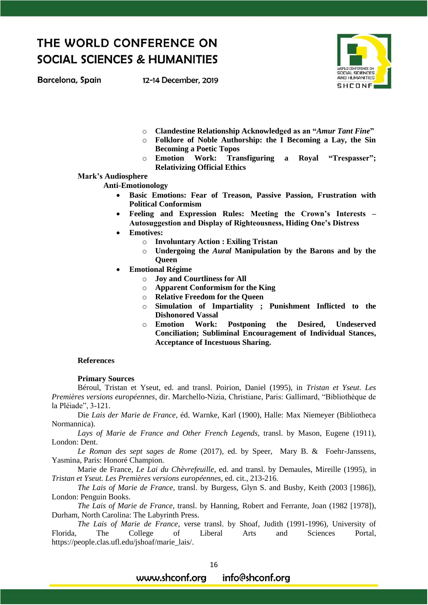Barcelona, Spain

12-14 December, 2019



- o **Clandestine Relationship Acknowledged as an "***Amur Tant Fine***"**
- o **Folklore of Noble Authorship: the I Becoming a Lay, the Sin Becoming a Poetic Topos**
- o **Emotion Work: Transfiguring a Royal "Trespasser"; Relativizing Official Ethics**

#### **Mark's Audiosphere**

#### **Anti-Emotionology**

- **Basic Emotions: Fear of Treason, Passive Passion, Frustration with Political Conformism**
- **Feeling and Expression Rules: Meeting the Crown's Interests – Autosuggestion and Display of Righteousness, Hiding One's Distress**
- **Emotives:**
	- o **Involuntary Action : Exiling Tristan**
	- o **Undergoing the** *Aural* **Manipulation by the Barons and by the Queen**
- **Emotional Régime**
	- o **Joy and Courtliness for All**
	- o **Apparent Conformism for the King**
	- o **Relative Freedom for the Queen**
	- o **Simulation of Impartiality ; Punishment Inflicted to the Dishonored Vassal**
	- o **Emotion Work: Postponing the Desired, Undeserved Conciliation; Subliminal Encouragement of Individual Stances, Acceptance of Incestuous Sharing.**

#### **References**

#### **Primary Sources**

Béroul, Tristan et Yseut, ed. and transl. Poirion, Daniel (1995), in *Tristan et Yseut. Les Premières versions européennes*, dir. Marchello-Nizia, Christiane, Paris: Gallimard, "Bibliothèque de la Pléiade", 3-121.

Die *Lais der Marie de France*, éd. Warnke, Karl (1900), Halle: Max Niemeyer (Bibliotheca Normannica).

*Lays of Marie de France and Other French Legends*, transl. by Mason, Eugene (1911), London: Dent.

*Le Roman des sept sages de Rome* (2017), ed. by Speer, Mary B. & Foehr-Janssens, Yasmina, Paris: Honoré Champion.

Marie de France, *Le Lai du Chèvrefeuille*, ed. and transl. by Demaules, Mireille (1995), in *Tristan et Yseut. Les Premières versions européennes*, ed. cit., 213-216.

*The Lais of Marie de France*, transl. by Burgess, Glyn S. and Busby, Keith (2003 [1986]), London: Penguin Books.

*The Lais of Marie de France*, transl. by Hanning, Robert and Ferrante, Joan (1982 [1978]), Durham, North Carolina: The Labyrinth Press.

*The Lais of Marie de France*, verse transl. by Shoaf, Judith (1991-1996), University of Florida, The College of Liberal Arts and Sciences Portal, [https://people.clas.ufl.edu/jshoaf/marie\\_lais/.](https://people.clas.ufl.edu/jshoaf/marie_lais/)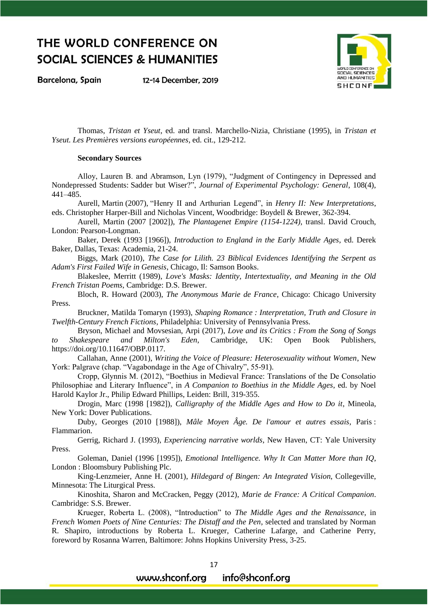Barcelona, Spain

12-14 December, 2019



Thomas, *Tristan et Yseut*, ed. and transl. Marchello-Nizia, Christiane (1995), in *Tristan et Yseut. Les Premières versions européennes*, ed. cit., 129-212.

#### **Secondary Sources**

Alloy, Lauren B. and Abramson, Lyn (1979), "Judgment of Contingency in Depressed and Nondepressed Students: Sadder but Wiser?", *Journal of Experimental Psychology: General*, 108(4), 441–485.

Aurell, Martin (2007), "Henry II and Arthurian Legend", in *Henry II: New Interpretations*, eds. Christopher Harper-Bill and Nicholas Vincent, Woodbridge: Boydell & Brewer, 362-394.

Aurell, Martin (2007 [2002]), *The Plantagenet Empire (1154-1224)*, transl. David Crouch, London: Pearson-Longman.

Baker, Derek (1993 [1966]), *Introduction to England in the Early Middle Ages*, ed. Derek Baker, Dallas, Texas: Academia, 21-24.

Biggs, Mark (2010), *The Case for Lilith. 23 Biblical Evidences Identifying the Serpent as Adam's First Failed Wife in Genesis*, Chicago, Il: Samson Books.

Blakeslee, Merritt (1989), *Love's Masks: Identity, Intertextuality, and Meaning in the Old French Tristan Poems*, Cambridge: D.S. Brewer.

Bloch, R. Howard (2003), *The Anonymous Marie de France*, Chicago: Chicago University Press.

Bruckner, Matilda Tomaryn (1993), *Shaping Romance : Interpretation, Truth and Closure in Twelfth-Century French Fictions*, Philadelphia: University of Pennsylvania Press.

Bryson, Michael and Movsesian, Arpi (2017), *Love and its Critics : From the Song of Songs to Shakespeare and Milton's Eden*, Cambridge, UK: Open Book Publishers, https://doi.org/10.11647/OBP.0117.

Callahan, Anne (2001), *Writing the Voice of Pleasure: Heterosexuality without Women*, New York: Palgrave (chap. "Vagabondage in the Age of Chivalry", 55-91).

Cropp, Glynnis M. (2012), "Boethius in Medieval France: Translations of the De Consolatio Philosophiae and Literary Influence", in *A Companion to Boethius in the Middle Ages*, ed. by Noel Harold Kaylor Jr., Philip Edward Phillips, Leiden: Brill, 319-355.

Drogin, Marc (1998 [1982]), *Calligraphy of the Middle Ages and How to Do it*, Mineola, New York: Dover Publications.

Duby, Georges (2010 [1988]), *Mâle Moyen Âge. De l'amour et autres essais*, Paris : Flammarion.

Gerrig, Richard J. (1993), *Experiencing narrative worlds*, New Haven, CT: Yale University Press.

Goleman, Daniel (1996 [1995]), *Emotional Intelligence. Why It Can Matter More than IQ*, London : Bloomsbury Publishing Plc.

King-Lenzmeier, Anne H. (2001), *Hildegard of Bingen: An Integrated Vision*, Collegeville, Minnesota: The Liturgical Press.

Kinoshita, Sharon and McCracken, Peggy (2012), *Marie de France: A Critical Companion*. Cambridge: S.S. Brewer.

Krueger, Roberta L. (2008), "Introduction" to *The Middle Ages and the Renaissance*, in *French Women Poets of Nine Centuries: The Distaff and the Pen*, selected and translated by Norman R. Shapiro, introductions by Roberta L. Krueger, Catherine Lafarge, and Catherine Perry, foreword by Rosanna Warren, Baltimore: Johns Hopkins University Press, 3-25.